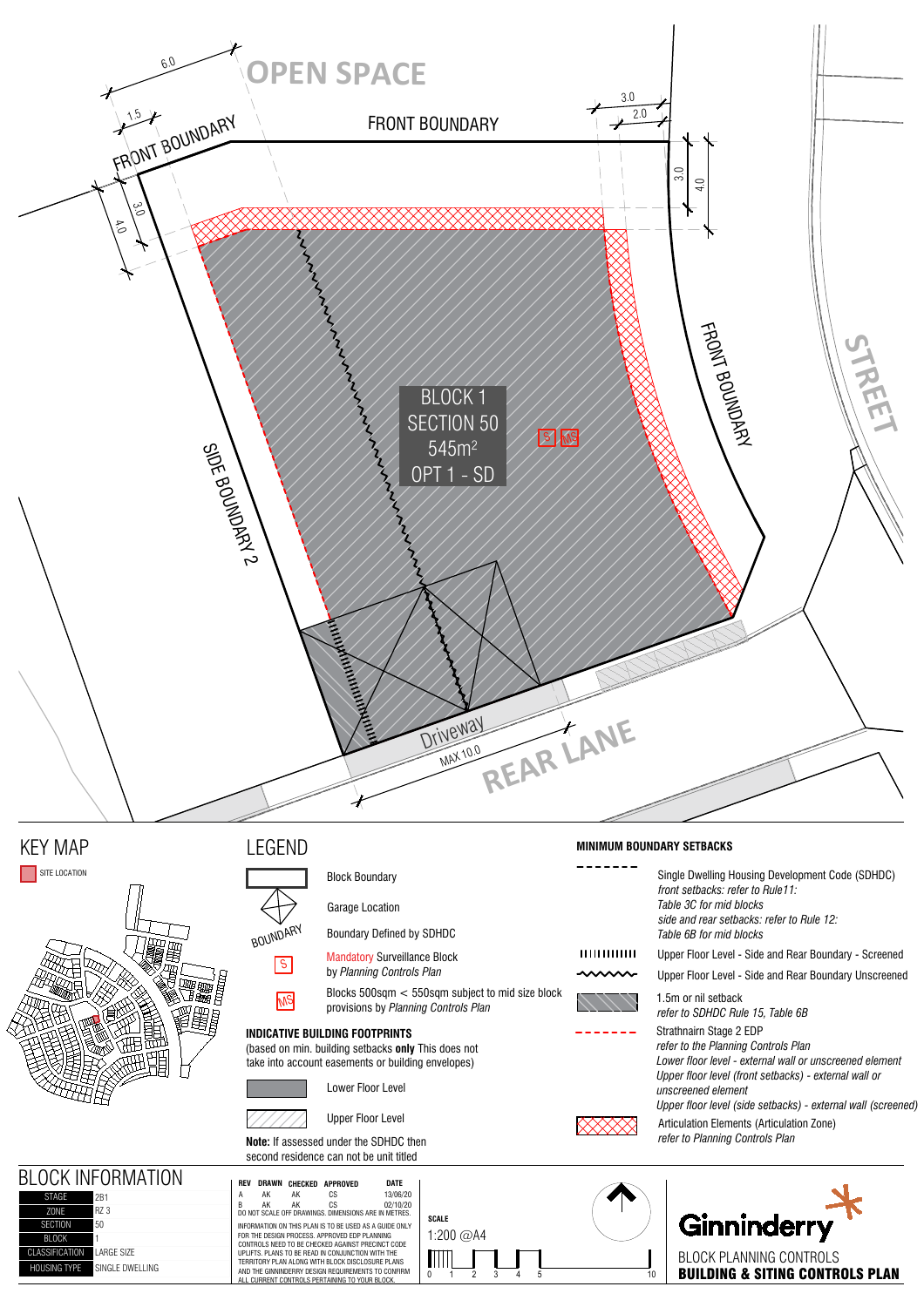